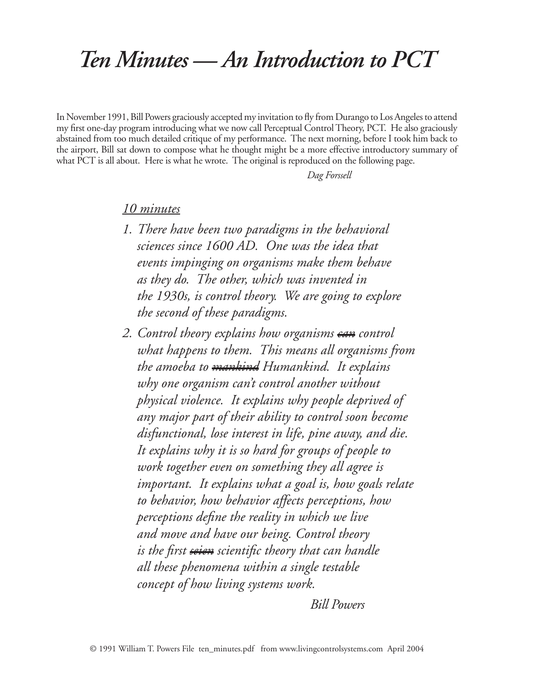## *Ten Minutes — An Introduction to PCT*

In November 1991, Bill Powers graciously accepted my invitation to fly from Durango to Los Angeles to attend my first one-day program introducing what we now call Perceptual Control Theory, PCT. He also graciously abstained from too much detailed critique of my performance. The next morning, before I took him back to the airport, Bill sat down to compose what he thought might be a more effective introductory summary of what PCT is all about. Here is what he wrote. The original is reproduced on the following page.

 *Dag Forssell*

## *10 minutes*

- *1. There have been two paradigms in the behavioral sciences since 1600 AD. One was the idea that events impinging on organisms make them behave as they do. The other, which was invented in the 1930s, is control theory. We are going to explore the second of these paradigms.*
- *2. Control theory explains how organisms can control what happens to them. This means all organisms from the amoeba to mankind Humankind. It explains why one organism can't control another without physical violence. It explains why people deprived of any major part of their ability to control soon become disfunctional, lose interest in life, pine away, and die. It explains why it is so hard for groups of people to work together even on something they all agree is important. It explains what a goal is, how goals relate to behavior, how behavior affects perceptions, how perceptions define the reality in which we live and move and have our being. Control theory is the first seien scientific theory that can handle all these phenomena within a single testable concept of how living systems work.*

 *Bill Powers*